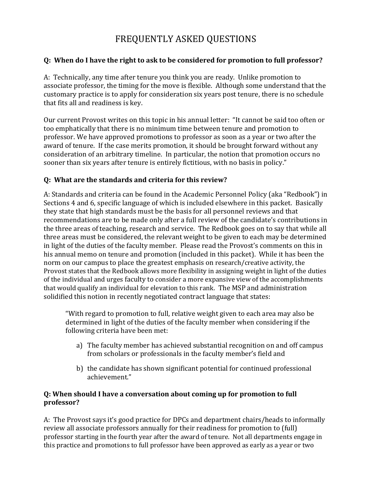# FREQUENTLY ASKED QUESTIONS

#### **Q: When do I have the right to ask to be considered for promotion to full professor?**

A: Technically, any time after tenure you think you are ready. Unlike promotion to associate professor, the timing for the move is flexible. Although some understand that the customary practice is to apply for consideration six years post tenure, there is no schedule that fits all and readiness is key.

Our current Provost writes on this topic in his annual letter: "It cannot be said too often or too emphatically that there is no minimum time between tenure and promotion to professor. We have approved promotions to professor as soon as a year or two after the award of tenure. If the case merits promotion, it should be brought forward without any consideration of an arbitrary timeline. In particular, the notion that promotion occurs no sooner than six years after tenure is entirely fictitious, with no basis in policy."

#### **Q: What are the standards and criteria for this review?**

A: Standards and criteria can be found in the Academic Personnel Policy (aka "Redbook") in Sections 4 and 6, specific language of which is included elsewhere in this packet. Basically they state that high standards must be the basis for all personnel reviews and that recommendations are to be made only after a full review of the candidate's contributions in the three areas of teaching, research and service. The Redbook goes on to say that while all three areas must be considered, the relevant weight to be given to each may be determined in light of the duties of the faculty member. Please read the Provost's comments on this in his annual memo on tenure and promotion (included in this packet). While it has been the norm on our campus to place the greatest emphasis on research/creative activity, the Provost states that the Redbook allows more flexibility in assigning weight in light of the duties of the individual and urges faculty to consider a more expansive view of the accomplishments that would qualify an individual for elevation to this rank. The MSP and administration solidified this notion in recently negotiated contract language that states:

"With regard to promotion to full, relative weight given to each area may also be determined in light of the duties of the faculty member when considering if the following criteria have been met:

- a) The faculty member has achieved substantial recognition on and off campus from scholars or professionals in the faculty member's field and
- b) the candidate has shown significant potential for continued professional achievement."

#### **Q: When should I have a conversation about coming up for promotion to full professor?**

A: The Provost says it's good practice for DPCs and department chairs/heads to informally review all associate professors annually for their readiness for promotion to (full) professor starting in the fourth year after the award of tenure. Not all departments engage in this practice and promotions to full professor have been approved as early as a year or two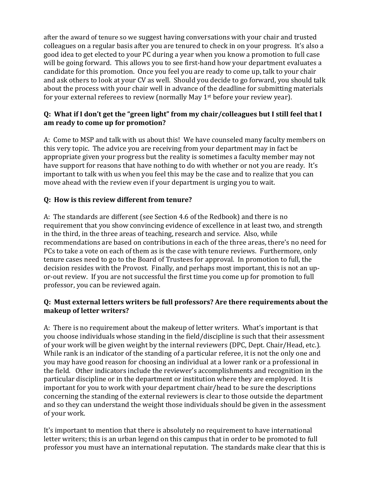after the award of tenure so we suggest having conversations with your chair and trusted colleagues on a regular basis after you are tenured to check in on your progress. It's also a good idea to get elected to your PC during a year when you know a promotion to full case will be going forward. This allows you to see first-hand how your department evaluates a candidate for this promotion. Once you feel you are ready to come up, talk to your chair and ask others to look at your CV as well. Should you decide to go forward, you should talk about the process with your chair well in advance of the deadline for submitting materials for your external referees to review (normally May 1st before your review year).

#### **Q: What if I don't get the "green light" from my chair/colleagues but I still feel that I am ready to come up for promotion?**

A: Come to MSP and talk with us about this! We have counseled many faculty members on this very topic. The advice you are receiving from your department may in fact be appropriate given your progress but the reality is sometimes a faculty member may not have support for reasons that have nothing to do with whether or not you are ready. It's important to talk with us when you feel this may be the case and to realize that you can move ahead with the review even if your department is urging you to wait.

### **Q: How is this review different from tenure?**

A: The standards are different (see Section 4.6 of the Redbook) and there is no requirement that you show convincing evidence of excellence in at least two, and strength in the third, in the three areas of teaching, research and service. Also, while recommendations are based on contributions in each of the three areas, there's no need for PCs to take a vote on each of them as is the case with tenure reviews. Furthermore, only tenure cases need to go to the Board of Trustees for approval. In promotion to full, the decision resides with the Provost. Finally, and perhaps most important, this is not an upor-out review. If you are not successful the first time you come up for promotion to full professor, you can be reviewed again.

#### **Q: Must external letters writers be full professors? Are there requirements about the makeup of letter writers?**

A: There is no requirement about the makeup of letter writers. What's important is that you choose individuals whose standing in the field/discipline is such that their assessment of your work will be given weight by the internal reviewers (DPC, Dept. Chair/Head, etc.). While rank is an indicator of the standing of a particular referee, it is not the only one and you may have good reason for choosing an individual at a lower rank or a professional in the field. Other indicators include the reviewer's accomplishments and recognition in the particular discipline or in the department or institution where they are employed. It is important for you to work with your department chair/head to be sure the descriptions concerning the standing of the external reviewers is clear to those outside the department and so they can understand the weight those individuals should be given in the assessment of your work.

It's important to mention that there is absolutely no requirement to have international letter writers; this is an urban legend on this campus that in order to be promoted to full professor you must have an international reputation. The standards make clear that this is